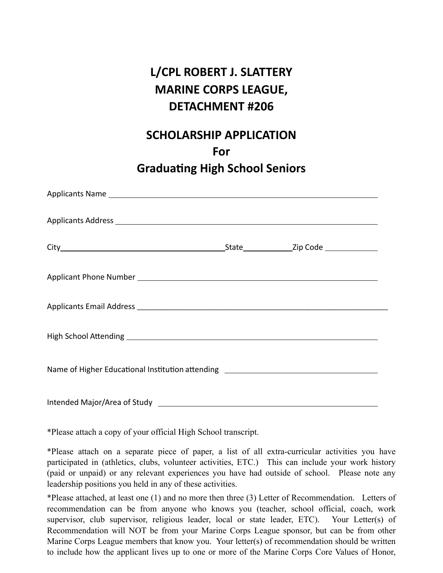# **L/CPL ROBERT J. SLATTERY MARINE CORPS LEAGUE, DETACHMENT #206**

### **SCHOLARSHIP APPLICATION**

**For**

# **Graduating High School Seniors**

\*Please attach a copy of your official High School transcript.

\*Please attach on a separate piece of paper, a list of all extra-curricular activities you have participated in (athletics, clubs, volunteer activities, ETC.) This can include your work history (paid or unpaid) or any relevant experiences you have had outside of school. Please note any leadership positions you held in any of these activities.

\*Please attached, at least one (1) and no more then three (3) Letter of Recommendation. Letters of recommendation can be from anyone who knows you (teacher, school official, coach, work supervisor, club supervisor, religious leader, local or state leader, ETC). Your Letter(s) of Recommendation will NOT be from your Marine Corps League sponsor, but can be from other Marine Corps League members that know you. Your letter(s) of recommendation should be written to include how the applicant lives up to one or more of the Marine Corps Core Values of Honor,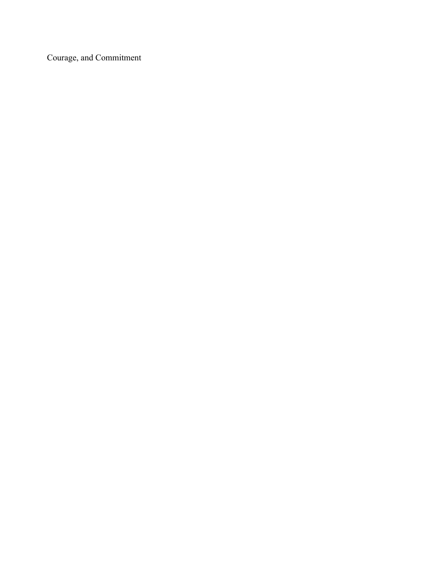Courage, and Commitment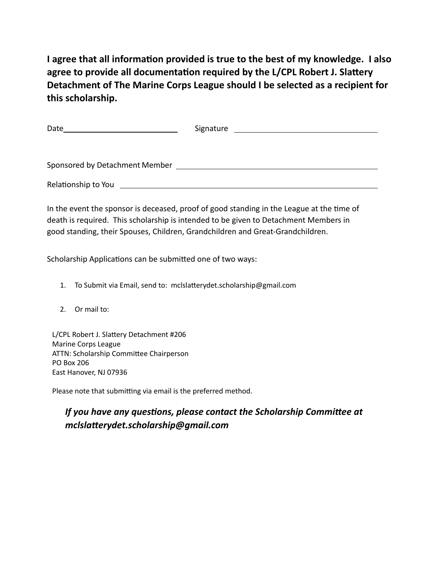**I agree that all information provided is true to the best of my knowledge. I also agree to provide all documentation required by the L/CPL Robert J. Slattery Detachment of The Marine Corps League should I be selected as a recipient for this scholarship.**

| Date                                                                                                                                                                                                                           | Signature<br><u> 1980 - Andrea State Barbara, política establecera en la contrada de la contrada de la contrada de la contrada</u> |
|--------------------------------------------------------------------------------------------------------------------------------------------------------------------------------------------------------------------------------|------------------------------------------------------------------------------------------------------------------------------------|
|                                                                                                                                                                                                                                |                                                                                                                                    |
|                                                                                                                                                                                                                                |                                                                                                                                    |
| Sponsored by Detachment Member Sponsored by Detachment Member                                                                                                                                                                  |                                                                                                                                    |
| Relationship to You are all the control of the control of the control of the control of the control of the control of the control of the control of the control of the control of the control of the control of the control of |                                                                                                                                    |

In the event the sponsor is deceased, proof of good standing in the League at the time of death is required. This scholarship is intended to be given to Detachment Members in good standing, their Spouses, Children, Grandchildren and Great-Grandchildren.

Scholarship Applications can be submitted one of two ways:

- 1. To Submit via Email, send to: mclslatterydet.scholarship@gmail.com
- 2. Or mail to:

L/CPL Robert J. Slattery Detachment #206 Marine Corps League ATTN: Scholarship Committee Chairperson PO Box 206 East Hanover, NJ 07936

Please note that submitting via email is the preferred method.

#### *If you have any questions, please contact the Scholarship Committee at mclslatterydet.scholarship@gmail.com*